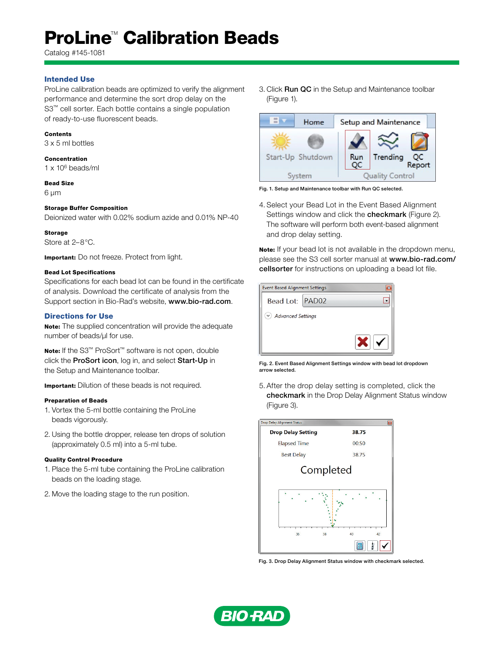# **ProLine<sup>™</sup> Calibration Beads**

Catalog #145-1081

## Intended Use

ProLine calibration beads are optimized to verify the alignment performance and determine the sort drop delay on the S3<sup>™</sup> cell sorter. Each bottle contains a single population of ready-to-use fluorescent beads.

#### Contents

3 x 5 ml bottles

## Concentration

 $1 \times 10^6$  beads/ml

#### Bead Size

6 µm

## Storage Buffer Composition

Deionized water with 0.02% sodium azide and 0.01% NP-40

Storage Store at 2–8°C.

Important: Do not freeze. Protect from light.

#### Bead Lot Specifications

Specifications for each bead lot can be found in the certificate of analysis. Download the certificate of analysis from the Support section in Bio-Rad's website, www.bio-rad.com.

## Directions for Use

Note: The supplied concentration will provide the adequate number of beads/µl for use.

Note: If the S3<sup>™</sup> ProSort<sup>™</sup> software is not open, double click the ProSort icon, log in, and select Start-Up in the Setup and Maintenance toolbar.

**Important:** Dilution of these beads is not required.

## Preparation of Beads

- 1. Vortex the 5-ml bottle containing the ProLine beads vigorously.
- 2. Using the bottle dropper, release ten drops of solution (approximately 0.5 ml) into a 5-ml tube.

#### Quality Control Procedure

- 1. Place the 5-ml tube containing the ProLine calibration beads on the loading stage.
- 2. Move the loading stage to the run position.

3. Click Run QC in the Setup and Maintenance toolbar (Figure 1).



Fig. 1. Setup and Maintenance toolbar with Run QC selected.

4. Select your Bead Lot in the Event Based Alignment Settings window and click the **checkmark** (Figure 2). The software will perform both event-based alignment and drop delay setting.

Note: If your bead lot is not available in the dropdown menu, please see the S3 cell sorter manual at www.bio-rad.com/ cellsorter for instructions on uploading a bead lot file.



Fig. 2. Event Based Alignment Settings window with bead lot dropdown arrow selected.

5. After the drop delay setting is completed, click the checkmark in the Drop Delay Alignment Status window (Figure 3).



Fig. 3. Drop Delay Alignment Status window with checkmark selected.